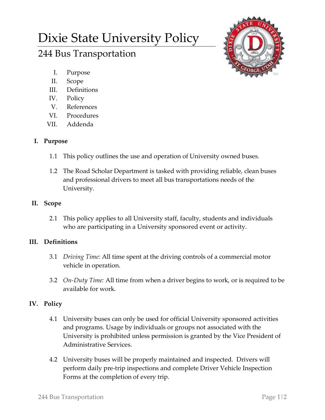# Dixie State University Policy

# 244 Bus Transportation



- I. Purpose
- II. Scope
- III. Definitions
- IV. Policy
- V. References
- VI. Procedures
- VII. Addenda

### **I. Purpose**

- 1.1 This policy outlines the use and operation of University owned buses.
- 1.2 The Road Scholar Department is tasked with providing reliable, clean buses and professional drivers to meet all bus transportations needs of the University.

#### **II. Scope**

2.1 This policy applies to all University staff, faculty, students and individuals who are participating in a University sponsored event or activity.

# **III. Definitions**

- 3.1 *Driving Time:* All time spent at the driving controls of a commercial motor vehicle in operation.
- 3.2 *On-Duty Time:* All time from when a driver begins to work, or is required to be available for work.

# **IV. Policy**

- 4.1 University buses can only be used for official University sponsored activities and programs. Usage by individuals or groups not associated with the University is prohibited unless permission is granted by the Vice President of Administrative Services.
- 4.2 University buses will be properly maintained and inspected. Drivers will perform daily pre-trip inspections and complete Driver Vehicle Inspection Forms at the completion of every trip.